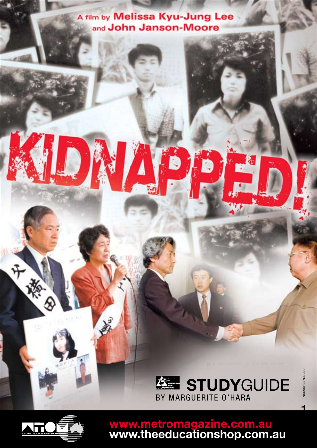# A film by Melissa Kyu-Jung Lee and John Janson-Moore

D

 $\overline{\blacktriangle}$ 





F

D

**www.metromagazine.com.au www.theeducationshop.com.au**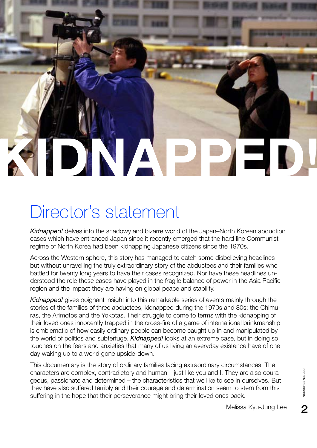

# Director's statement

*Kidnapped!* delves into the shadowy and bizarre world of the Japan–North Korean abduction cases which have entranced Japan since it recently emerged that the hard line Communist regime of North Korea had been kidnapping Japanese citizens since the 1970s.

Across the Western sphere, this story has managed to catch some disbelieving headlines but without unravelling the truly extraordinary story of the abductees and their families who battled for twenty long years to have their cases recognized. Nor have these headlines understood the role these cases have played in the fragile balance of power in the Asia Pacific region and the impact they are having on global peace and stability.

*Kidnapped!* gives poignant insight into this remarkable series of events mainly through the stories of the families of three abductees, kidnapped during the 1970s and 80s: the Chimuras, the Arimotos and the Yokotas. Their struggle to come to terms with the kidnapping of their loved ones innocently trapped in the cross-fire of a game of international brinkmanship is emblematic of how easily ordinary people can become caught up in and manipulated by the world of politics and subterfuge. *Kidnapped!* looks at an extreme case, but in doing so, touches on the fears and anxieties that many of us living an everyday existence have of one day waking up to a world gone upside-down.

This documentary is the story of ordinary families facing extraordinary circumstances. The characters are complex, contradictory and human – just like you and I. They are also courageous, passionate and determined – the characteristics that we like to see in ourselves. But they have also suffered terribly and their courage and determination seem to stem from this suffering in the hope that their perseverance might bring their loved ones back. They are also coura-<br>see in ourselves. But<br>m to stem from this<br>s back.<br>Melissa Kyu-Jung Lee 2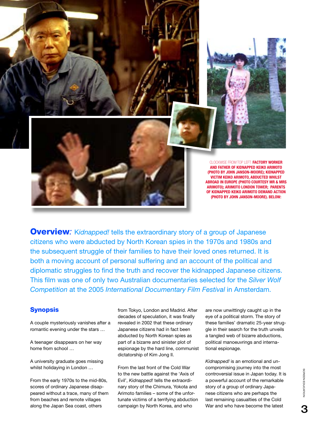

**Overview:** Kidnapped! tells the extraordinary story of a group of Japanese citizens who were abducted by North Korean spies in the 1970s and 1980s and the subsequent struggle of their families to have their loved ones returned. It is both a moving account of personal suffering and an account of the political and diplomatic struggles to find the truth and recover the kidnapped Japanese citizens. This film was one of only two Australian documentaries selected for the *Silver Wolf Competition* at the 2005 *International Documentary Film Festival* in Amsterdam.

## **Synopsis**

A couple mysteriously vanishes after a romantic evening under the stars …

A teenager disappears on her way home from school …

A university graduate goes missing whilst holidaying in London …

From the early 1970s to the mid-80s, scores of ordinary Japanese disappeared without a trace, many of them from beaches and remote villages along the Japan Sea coast, others

from Tokyo, London and Madrid. After decades of speculation, it was finally revealed in 2002 that these ordinary Japanese citizens had in fact been abducted by North Korean spies as part of a bizarre and sinister plot of espionage by the hard line, communist dictatorship of Kim Jong Il.

From the last front of the Cold War to the new battle against the 'Axis of Evil', *Kidnapped!* tells the extraordinary story of the Chimura, Yokota and Arimoto families – some of the unfortunate victims of a terrifying abduction campaign by North Korea, and who

are now unwittingly caught up in the eye of a political storm. The story of these families' dramatic 25-year struggle in their search for the truth unveils a tangled web of bizarre abductions, political manoeuvrings and international espionage.

*Kidnapped!* is an emotional and uncompromising journey into the most controversial issue in Japan today. It is a powerful account of the remarkable story of a group of ordinary Japanese citizens who are perhaps the last remaining casualties of the Cold War and who have become the latest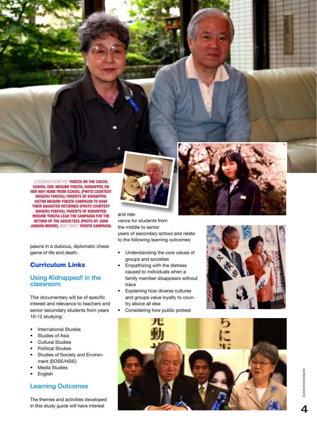Clo ckwise from to P: **Yokota on the couch; School girl Megumi Yokota, Kidnapped on her way home from school (PHOTO COURTE S Y SHIGERU YOKOTA); Parent s o f kidnapped victim Megumi Yokota campaign to have their daughter returned (PHOTO COURTE S Y SHIGERU YOKOTA); Parent s o f kidnapped Megumi Yokota lead the campaign for the RETURN OF THE ABDUCTEES (PHOTO BY JO JAN SON -MOORE).**  Inset right: **Yokota campaign.**

pawns in a dubious, diplomatic chess game of life and death.

# Curriculum Links

#### Using *Kidnapped*! in the classroom

This documentary will be of specific interest and relevance to teachers and senior secondary students from years 10-12 studying:

- International Studies
- Studies of Asia
- Cultural Studies
- Political Studies
- Studies of Society and Environ ment (SOSE/HSIE)
- **Media Studies**
- English

#### Learning Outcomes

The themes and activities developed in this study guide will have interest



and rele vance for students from the middle to senior years of secondary school and relate to the following learning outcomes:

- Understanding the core values of groups and societies
- Empathizing with the distress caused to individuals when a family member disappears without trace
- Explaining how diverse cultures and groups value loyalty to coun try above all else
- Considering how public protest





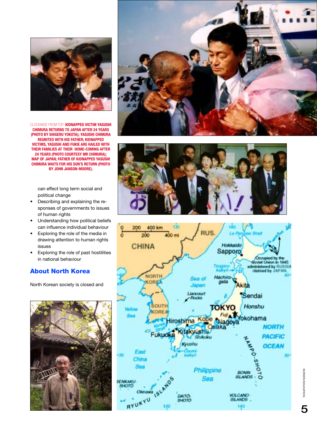

Clo ckwise from to P: **Kidnapped victim Ya s u shi CHIMURA RETURNS TO JAPAN AFTER 24 YEARS (PHOTO B Y SHIGERU YOKOTA); Ya s u shi Chimura reunited with hi s father; Kidnapped victim s, Ya s u shi and Fukie are hailed with their familie s at their home-coming a fter 24 year s (PHOTO COURTE S Y MR CHIMURA); MAP OF JAPAN; FATHER OF KIDNAPPED YASUSHI f CHIMURA WAITS FOR HIS SON'S RETURN (P BY JOHN JANSON-MOORE).** 

can effect long term social and political change

- Describing and explaining the responses of governments to issues of human rights
- Understanding how political beliefs can influence individual behaviour
- Exploring the role of the media in drawing attention to human rights issues
- Exploring the role of past hostilities in national behaviour

## About North Korea

North Korean society is closed and









SCREEN EDUCATION OF THE PASSES

5

SCREEN EDUCATION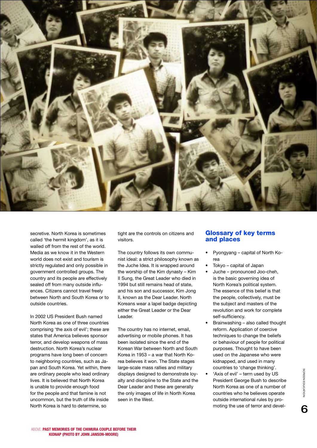

secretive. North Korea is sometimes called 'the hermit kingdom', as it is walled off from the rest of the world. Media as we know it in the Western world does not exist and tourism is strictly regulated and only possible in government controlled groups. The country and its people are effectively sealed off from many outside influences. Citizens cannot travel freely between North and South Korea or to outside countries.

In 2002 US President Bush named North Korea as one of three countries comprising 'the axis of evil'; these are states that America believes sponsor terror, and develop weapons of mass destruction. North Korea's nuclear programs have long been of concern to neighboring countries, such as Japan and South Korea. Yet within, there are ordinary people who lead ordinary lives. It is believed that North Korea is unable to provide enough food for the people and that famine is not uncommon, but the truth of life inside North Korea is hard to determine, so

tight are the controls on citizens and visitors.

The country follows its own communist ideal: a strict philosophy known as the Juche Idea. It is wrapped around the worship of the Kim dynasty – Kim II Sung, the Great Leader who died in 1994 but still remains head of state, and his son and successor, Kim Jong II, known as the Dear Leader. North Koreans wear a lapel badge depicting either the Great Leader or the Dear Leader.

The country has no internet, email, advertising or mobile phones. It has been isolated since the end of the Korean War between North and South Korea in 1953 – a war that North Korea believes it won. The State stages large-scale mass rallies and military displays designed to demonstrate loyalty and discipline to the State and the Dear Leader and these are generally the only images of life in North Korea seen in the West.

#### Glossary of key terms and places

- Pyongyang capital of North Korea
- Tokyo capital of Japan
- Juche pronounced Joo-cheh, is the basic governing idea of North Korea's political system. The essence of this belief is that the people, collectively, must be the subject and masters of the revolution and work for complete self-sufficiency.
- Brainwashing also called thought reform. Application of coercive techniques to change the beliefs or behaviour of people for political purposes. Thought to have been used on the Japanese who were kidnapped, and used in many countries to 'change thinking'.
- 'Axis of evil' term used by US President George Bush to describe North Korea as one of a number of countries who he believes operate outside international rules by promoting the use of terror and devel-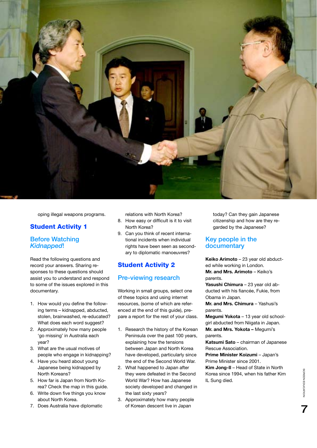

oping illegal weapons programs.

#### Student Activity 1

#### Before Watching *Kidnapped*!

Read the following questions and record your answers. Sharing responses to these questions should assist you to understand and respond to some of the issues explored in this documentary.

- 1. How would you define the following terms – kidnapped, abducted, stolen, brainwashed, re-educated? What does each word suggest?
- 2. Approximately how many people 'go missing' in Australia each year?
- 3. What are the usual motives of people who engage in kidnapping?
- 4. Have you heard about young Japanese being kidnapped by North Koreans?
- 5. How far is Japan from North Korea? Check the map in this guide.
- 6. Write down five things you know about North Korea.
- 7. Does Australia have diplomatic

relations with North Korea?

- 8. How easy or difficult is it to visit North Korea?
- 9. Can you think of recent international incidents when individual rights have been seen as secondary to diplomatic manoeuvres?

# Student Activity 2

#### Pre-viewing research

Working in small groups, select one of these topics and using internet resources, (some of which are referenced at the end of this guide), prepare a report for the rest of your class.

- 1. Research the history of the Korean Peninsula over the past 100 years, explaining how the tensions between Japan and North Korea have developed, particularly since the end of the Second World War.
- 2. What happened to Japan after they were defeated in the Second World War? How has Japanese society developed and changed in the last sixty years?
- 3. Approximately how many people of Korean descent live in Japan

today? Can they gain Japanese citizenship and how are they regarded by the Japanese?

#### Key people in the documentary

**Keiko Arimoto** – 23 year old abducted while working in London. **Mr. and Mrs. Arimoto** – Keiko's

#### parents.

**Yasushi Chimura** – 23 year old abducted with his fiancée, Fukie, from Obama in Japan.

**Mr. and Mrs. Chimura** – Yashusi's parents.

**Megumi Yokota** – 13 year old schoolgirl abducted from Niigata in Japan. **Mr. and Mrs. Yokota –** Megumi's

parents.

**Katsumi Sato** – chairman of Japanese Rescue Association.

**Prime Minister Koizumi** – Japan's Prime Minister since 2001.

**Kim Jong-Il** – Head of State in North Korea since 1994, when his father Kim IL Sung died.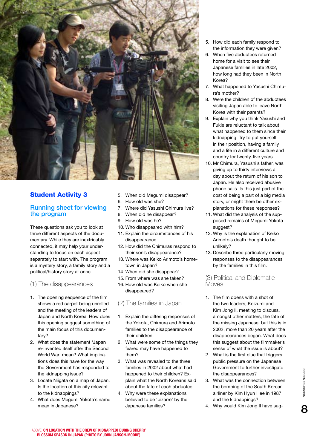

# Student Activity 3

#### Running sheet for viewing the program

These questions ask you to look at three different aspects of the documentary. While they are inextricably connected, it may help your understanding to focus on each aspect separately to start with. The program is a mystery story, a family story and a political/history story at once.

#### (1) The disappearances

- 1. The opening sequence of the film shows a red carpet being unrolled and the meeting of the leaders of Japan and North Korea. How does this opening suggest something of the main focus of this documentary?
- 2. What does the statement 'Japan re-invented itself after the Second World War' mean? What implications does this have for the way the Government has responded to the kidnapping issue?
- 3. Locate Niigata on a map of Japan. Is the location of this city relevant to the kidnappings?
- 4. What does Megumi Yokota's name mean in Japanese?
- 5. When did Megumi disappear?
- 6. How old was she?
- 7. Where did Yasushi Chimura live?
- 8. When did he disappear?
- 9. How old was he?
- 10. Who disappeared with him?
- 11. Explain the circumstances of his disappearance.
- 12. How did the Chimuras respond to their son's disappearance?
- 13. Where was Keiko Arimoto's hometown in Japan?
- 14. When did she disappear?
- 15. From where was she taken?
- 16. How old was Keiko when she disappeared?

#### (2) The families in Japan

- 1. Explain the differing responses of the Yokota, Chimura and Arimoto families to the disappearance of their children.
- 2. What were some of the things they feared may have happened to them?
- 3. What was revealed to the three families in 2002 about what had happened to their children? Explain what the North Koreans said about the fate of each abductee.
- 4. Why were these explanations believed to be 'bizarre' by the Japanese families?
- 5. How did each family respond to the information they were given?
- 6. When five abductees returned home for a visit to see their Japanese families in late 2002, how long had they been in North Korea?
- 7. What happened to Yasushi Chimura's mother?
- 8. Were the children of the abductees visiting Japan able to leave North Korea with their parents?
- 9. Explain why you think Yasushi and Fukie are reluctant to talk about what happened to them since their kidnapping. Try to put yourself in their position, having a family and a life in a different culture and country for twenty-five years.
- 10. Mr Chimura, Yasushi's father, was giving up to thirty interviews a day about the return of his son to Japan. He also received abusive phone calls. Is this just part of the cost of being a part of a big media story, or might there be other explanations for these responses?
- 11. What did the analysis of the supposed remains of Megumi Yokota suggest?
- 12. Why is the explanation of Keiko Arimoto's death thought to be unlikely?
- 13. Describe three particularly moving responses to the disappearances by the families in this film.

#### (3) Political and Diplomatic **Moves**

- 1. The film opens with a shot of the two leaders, Koizumi and Kim Jong Il, meeting to discuss, amongst other matters, the fate of the missing Japanese, but this is in 2002, more than 20 years after the disappearances began. What does this suggest about the filmmaker's sense of what the issue is about?
- 2. What is the first clue that triggers public pressure on the Japanese Government to further investigate the disappearances?
- 3. What was the connection between the bombing of the South Korean airliner by Kim Hyun Hee in 1987 and the kidnappings?
- 4. Why would Kim Jong Il have sug-

8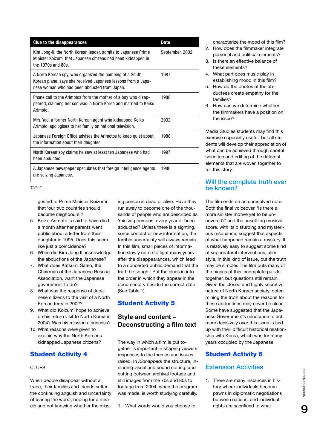| <b>Clue to the disappearances</b>                                                                                                                                         | Date            |
|---------------------------------------------------------------------------------------------------------------------------------------------------------------------------|-----------------|
| Kim Jong-II, the North Korean leader, admits to Japanese Prime<br>Minister Koizumi that Japanese citizens had been kidnapped in<br>the 1970s and 80s.                     | September, 2002 |
| A North Korean spy, who organized the bombing of a South<br>Korean plane, says she received Japanese lessons from a Japa-<br>nese woman who had been abducted from Japan. | 1987            |
| Phone call to the Arimotos from the mother of a boy who disap-<br>peared, claiming her son was in North Korea and married to Keiko<br>Arimoto.                            | 1988            |
| Mrs. Yao, a former North Korean agent who kidnapped Keiko<br>Arimoto, apologises to her family on national television.                                                    | 2002            |
| Japanese Foreign Office advises the Arimotos to keep quiet about<br>the information about their daughter.                                                                 | 1988            |
| North Korean spy claims he saw at least ten Japanese who had<br>been abducted                                                                                             | 1997            |
| A Japanese newspaper speculates that foreign intelligence agents<br>are seizing Japanese.                                                                                 | 1980            |

TABLE 1

gested to Prime Minister Koizumi that 'our two countries should become neighbours'?

- 5. Keiko Arimoto is said to have died a month after her parents went public about a letter from their daughter in 1995. Does this seem like just a coincidence?
- 6. When did Kim Jong Il acknowledge the abductions of the Japanese?
- 7. What does Katsumi Satso, the Chairman of the Japanese Rescue Association, want the Japanese government to do?
- 8. What was the response of Japanese citizens to the visit of a North Korean ferry in 2002?
- 9. What did Koizumi hope to achieve on his return visit to North Korea in 2004? Was his mission a success?
- 10. What reasons were given to explain why the North Koreans kidnapped Japanese citizens?

# Student Activity 4

#### **CLUES**

When people disappear without a trace, their families and friends suffer the continuing anguish and uncertainty of fearing the worst, hoping for a miracle and not knowing whether the missing person is dead or alive. Have they run away to become one of the thousands of people who are described as 'missing persons' every year or been abducted? Unless there is a sighting, some contact or new information, the terrible uncertainty will always remain. In this film, small pieces of information slowly come to light many years after the disappearances, which lead to a concerted public demand that the truth be sought. Put the clues in into the order in which they appear in the documentary beside the correct date (See Table 1).

# Student Activity 5

# **Style and content – Deconstructing a film text**

The way in which a film is put together is important in shaping viewers' responses to the themes and issues raised. In *Kidnapped!* the structure, including visual and sound editing, and cutting between archival footage and still images from the 70s and 80s to footage from 2004, when the program was made, is worth studying carefully.

1. What words would you choose to

characterize the mood of this film?

- 2. How does the filmmaker integrate personal and political elements?
- 3. Is there an effective balance of these elements?
- 4. What part does music play in establishing mood in this film?
- 5. How do the photos of the abductees create empathy for the families?
- 6. How can we determine whether the filmmakers have a position on the issue?

Media Studies students may find this exercise especially useful, but all students will develop their appreciation of what can be achieved through careful selection and editing of the different elements that are woven together to tell this story.

#### Will the complete truth ever be known?

The film ends on an unresolved note. Both the final voiceover, 'Is there a more sinister motive yet to be uncovered?' and the unsettling musical score, with its disturbing and mysterious resonance, suggest that aspects of what happened remain a mystery. It is relatively easy to suggest some kind of supernatural interventions, alien style, in this kind of issue, but the truth may be simpler. The film puts many of the pieces of this incomplete puzzle together, but questions still remain. Given the closed and highly secretive nature of North Korean society, determining the truth about the reasons for these abductions may never be clear. Some have suggested that the Japanese Government's reluctance to act more decisively over this issue is tied up with their difficult historical relationship with Korea, which was for many years occupied by the Japanese.

# Student Activity 6

# Extension Activities

1. There are many instances in history where individuals become pawns in diplomatic negotiations between nations, and individual rights are sacrificed to what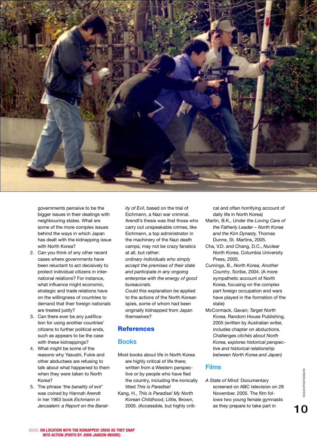

governments perceive to be the bigger issues in their dealings with neighbouring states. What are some of the more complex issues behind the ways in which Japan has dealt with the kidnapping issue with North Korea?

- 2. Can you think of any other recent cases where governments have been reluctant to act decisively to protect individual citizens in international relations? For instance, what influence might economic, strategic and trade relations have on the willingness of countries to demand that their foreign nationals are treated justly?
- 3. Can there ever be any justification for using another countries' citizens to further political ends, such as appears to be the case with these kidnappings?
- 4. What might be some of the reasons why Yasushi, Fukie and other abductees are refusing to talk about what happened to them when they were taken to North Korea?
- 5. The phrase *'the banality of evil'* was coined by Hannah Arendt in her 1963 book *Eichmann in Jerusalem: a Report on the Banal-*

*ity of Evil*, based on the trial of Eichmann, a Nazi war criminal. Arendt's thesis was that those who carry out unspeakable crimes, like Eichmann, a top administrator in the machinery of the Nazi death camps, may not be crazy fanatics at all, but rather:

*ordinary individuals who simply accept the premises of their state and participate in any ongoing enterprise with the energy of good bureaucrats.*

Could this explanation be applied to the actions of the North Korean spies, some of whom had been originally kidnapped from Japan themselves?

## **References**

#### Books

- Most books about life in North Korea are highly critical of life there; written from a Western perspective or by people who have fled the country, including the ironically titled *This is Paradise!*
- Kang, H., *This is Paradise! My North Korean Childhood*, Little, Brown, 2005. (Accessible, but highly criti-

cal and often horrifying account of daily life in North Korea)

- Martin, B.K., *Under the Loving Care of the Fatherly Leader – North Korea and the Kim Dynasty,* Thomas Dunne, St. Martins, 2005.
- Cha, V.D. and Chang, D.C., *Nuclear North Korea*, Columbia University Press, 2005.
- Cumings, B., *North Korea, Another Country*, Scribe, 2004. (A more sympathetic account of North Korea, focusing on the complex part foreign occupation and wars have played in the formation of the state)
- McCormack, Gavan; *Target North Korea,* Random House Publishing, 2005 (written by Australian writer, includes chapter on abductions. Challenges *clichés about North Korea, explores historical perspective and historical relationship between North Korea and Japan)*

## Films

*A State of Mind:* Documentary screened on ABC television on 28 November, 2005. The film follows two young female gymnasts as they prepare to take part in